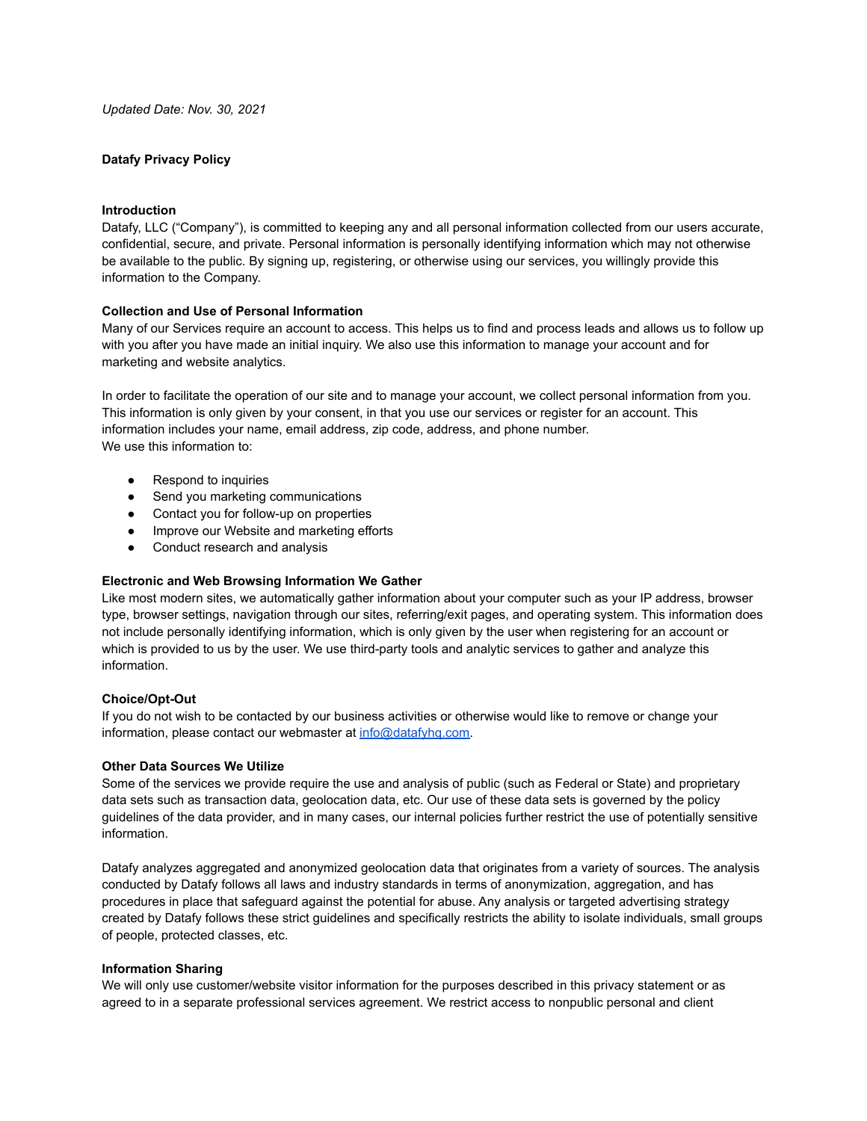## **Datafy Privacy Policy**

# **Introduction**

Datafy, LLC ("Company"), is committed to keeping any and all personal information collected from our users accurate, confidential, secure, and private. Personal information is personally identifying information which may not otherwise be available to the public. By signing up, registering, or otherwise using our services, you willingly provide this information to the Company.

## **Collection and Use of Personal Information**

Many of our Services require an account to access. This helps us to find and process leads and allows us to follow up with you after you have made an initial inquiry. We also use this information to manage your account and for marketing and website analytics.

In order to facilitate the operation of our site and to manage your account, we collect personal information from you. This information is only given by your consent, in that you use our services or register for an account. This information includes your name, email address, zip code, address, and phone number. We use this information to:

- Respond to inquiries
- Send you marketing communications
- Contact you for follow-up on properties
- Improve our Website and marketing efforts
- Conduct research and analysis

#### **Electronic and Web Browsing Information We Gather**

Like most modern sites, we automatically gather information about your computer such as your IP address, browser type, browser settings, navigation through our sites, referring/exit pages, and operating system. This information does not include personally identifying information, which is only given by the user when registering for an account or which is provided to us by the user. We use third-party tools and analytic services to gather and analyze this information.

# **Choice/Opt-Out**

If you do not wish to be contacted by our business activities or otherwise would like to remove or change your information, please contact our webmaster at [info@datafyhq.com.](mailto:info@datafyhq.com)

#### **Other Data Sources We Utilize**

Some of the services we provide require the use and analysis of public (such as Federal or State) and proprietary data sets such as transaction data, geolocation data, etc. Our use of these data sets is governed by the policy guidelines of the data provider, and in many cases, our internal policies further restrict the use of potentially sensitive information.

Datafy analyzes aggregated and anonymized geolocation data that originates from a variety of sources. The analysis conducted by Datafy follows all laws and industry standards in terms of anonymization, aggregation, and has procedures in place that safeguard against the potential for abuse. Any analysis or targeted advertising strategy created by Datafy follows these strict guidelines and specifically restricts the ability to isolate individuals, small groups of people, protected classes, etc.

#### **Information Sharing**

We will only use customer/website visitor information for the purposes described in this privacy statement or as agreed to in a separate professional services agreement. We restrict access to nonpublic personal and client